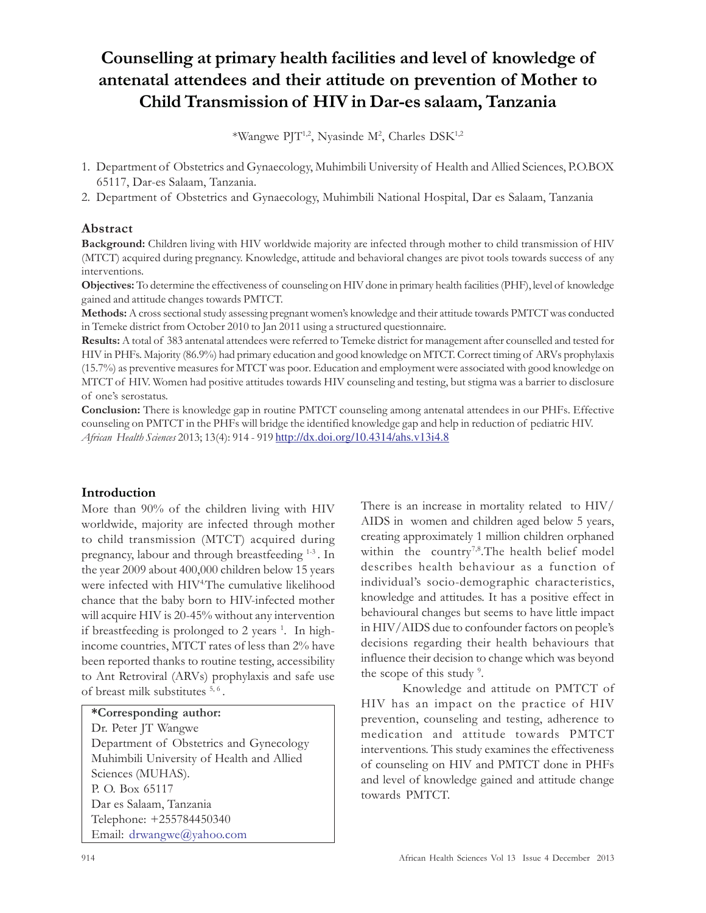# Counselling at primary health facilities and level of knowledge of antenatal attendees and their attitude on prevention of Mother to Child Transmission of HIV in Dar-es salaam, Tanzania

\*Wangwe PJT<sup>1,2</sup>, Nyasinde M<sup>2</sup>, Charles DSK<sup>1,2</sup>

- 1. Department of Obstetrics and Gynaecology, Muhimbili University of Health and Allied Sciences, P.O.BOX 65117, Dar-es Salaam, Tanzania.
- 2. Department of Obstetrics and Gynaecology, Muhimbili National Hospital, Dar es Salaam, Tanzania

# Abstract

Background: Children living with HIV worldwide majority are infected through mother to child transmission of HIV (MTCT) acquired during pregnancy. Knowledge, attitude and behavioral changes are pivot tools towards success of any interventions.

Objectives: To determine the effectiveness of counseling on HIV done in primary health facilities (PHF), level of knowledge gained and attitude changes towards PMTCT.

Methods: A cross sectional study assessing pregnant women's knowledge and their attitude towards PMTCT was conducted in Temeke district from October 2010 to Jan 2011 using a structured questionnaire.

Results: A total of 383 antenatal attendees were referred to Temeke district for management after counselled and tested for HIV in PHFs. Majority (86.9%) had primary education and good knowledge on MTCT. Correct timing of ARVs prophylaxis (15.7%) as preventive measures for MTCT was poor. Education and employment were associated with good knowledge on MTCT of HIV. Women had positive attitudes towards HIV counseling and testing, but stigma was a barrier to disclosure of one's serostatus.

Conclusion: There is knowledge gap in routine PMTCT counseling among antenatal attendees in our PHFs. Effective counseling on PMTCT in the PHFs will bridge the identified knowledge gap and help in reduction of pediatric HIV. African Health Sciences 2013; 13(4): 914 - 919 http://dx.doi.org/10.4314/ahs.v13i4.8

# Introduction

More than 90% of the children living with HIV worldwide, majority are infected through mother to child transmission (MTCT) acquired during pregnancy, labour and through breastfeeding <sup>1-3</sup>. In the year 2009 about 400,000 children below 15 years were infected with HIV<sup>4</sup>The cumulative likelihood chance that the baby born to HIV-infected mother will acquire HIV is 20-45% without any intervention if breastfeeding is prolonged to 2 years<sup>1</sup>. In highincome countries, MTCT rates of less than 2% have been reported thanks to routine testing, accessibility to Ant Retroviral (ARVs) prophylaxis and safe use of breast milk substitutes 5, 6 .

# \*Corresponding author:

Dr. Peter JT Wangwe Department of Obstetrics and Gynecology Muhimbili University of Health and Allied Sciences (MUHAS). P. O. Box 65117 Dar es Salaam, Tanzania Telephone: +255784450340 Email: drwangwe@yahoo.com

There is an increase in mortality related to HIV/ AIDS in women and children aged below 5 years, creating approximately 1 million children orphaned within the country<sup>7,8</sup>. The health belief model describes health behaviour as a function of individual's socio-demographic characteristics, knowledge and attitudes. It has a positive effect in behavioural changes but seems to have little impact in HIV/AIDS due to confounder factors on people's decisions regarding their health behaviours that influence their decision to change which was beyond the scope of this study <sup>9</sup>.

Knowledge and attitude on PMTCT of HIV has an impact on the practice of HIV prevention, counseling and testing, adherence to medication and attitude towards PMTCT interventions. This study examines the effectiveness of counseling on HIV and PMTCT done in PHFs and level of knowledge gained and attitude change towards PMTCT.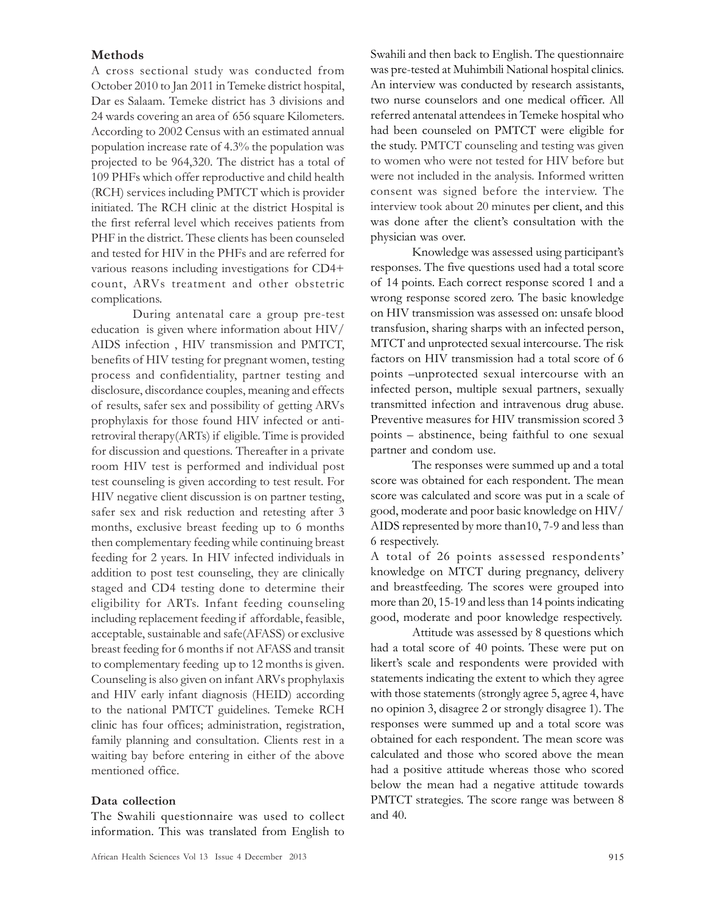#### Methods

A cross sectional study was conducted from October 2010 to Jan 2011 in Temeke district hospital, Dar es Salaam. Temeke district has 3 divisions and 24 wards covering an area of 656 square Kilometers. According to 2002 Census with an estimated annual population increase rate of 4.3% the population was projected to be 964,320. The district has a total of 109 PHFs which offer reproductive and child health (RCH) services including PMTCT which is provider initiated. The RCH clinic at the district Hospital is the first referral level which receives patients from PHF in the district. These clients has been counseled and tested for HIV in the PHFs and are referred for various reasons including investigations for CD4+ count, ARVs treatment and other obstetric complications.

During antenatal care a group pre-test education is given where information about HIV/ AIDS infection , HIV transmission and PMTCT, benefits of HIV testing for pregnant women, testing process and confidentiality, partner testing and disclosure, discordance couples, meaning and effects of results, safer sex and possibility of getting ARVs prophylaxis for those found HIV infected or antiretroviral therapy(ARTs) if eligible. Time is provided for discussion and questions. Thereafter in a private room HIV test is performed and individual post test counseling is given according to test result. For HIV negative client discussion is on partner testing, safer sex and risk reduction and retesting after 3 months, exclusive breast feeding up to 6 months then complementary feeding while continuing breast feeding for 2 years. In HIV infected individuals in addition to post test counseling, they are clinically staged and CD4 testing done to determine their eligibility for ARTs. Infant feeding counseling including replacement feeding if affordable, feasible, acceptable, sustainable and safe(AFASS) or exclusive breast feeding for 6 months if not AFASS and transit to complementary feeding up to 12 months is given. Counseling is also given on infant ARVs prophylaxis and HIV early infant diagnosis (HEID) according to the national PMTCT guidelines. Temeke RCH clinic has four offices; administration, registration, family planning and consultation. Clients rest in a waiting bay before entering in either of the above mentioned office.

#### Data collection

The Swahili questionnaire was used to collect information. This was translated from English to Swahili and then back to English. The questionnaire was pre-tested at Muhimbili National hospital clinics. An interview was conducted by research assistants, two nurse counselors and one medical officer. All referred antenatal attendees in Temeke hospital who had been counseled on PMTCT were eligible for the study. PMTCT counseling and testing was given to women who were not tested for HIV before but were not included in the analysis. Informed written consent was signed before the interview. The interview took about 20 minutes per client, and this was done after the client's consultation with the physician was over.

Knowledge was assessed using participant's responses. The five questions used had a total score of 14 points. Each correct response scored 1 and a wrong response scored zero. The basic knowledge on HIV transmission was assessed on: unsafe blood transfusion, sharing sharps with an infected person, MTCT and unprotected sexual intercourse. The risk factors on HIV transmission had a total score of 6 points –unprotected sexual intercourse with an infected person, multiple sexual partners, sexually transmitted infection and intravenous drug abuse. Preventive measures for HIV transmission scored 3 points – abstinence, being faithful to one sexual partner and condom use.

The responses were summed up and a total score was obtained for each respondent. The mean score was calculated and score was put in a scale of good, moderate and poor basic knowledge on HIV/ AIDS represented by more than10, 7-9 and less than 6 respectively.

A total of 26 points assessed respondents' knowledge on MTCT during pregnancy, delivery and breastfeeding. The scores were grouped into more than 20, 15-19 and less than 14 points indicating good, moderate and poor knowledge respectively.

Attitude was assessed by 8 questions which had a total score of 40 points. These were put on likert's scale and respondents were provided with statements indicating the extent to which they agree with those statements (strongly agree 5, agree 4, have no opinion 3, disagree 2 or strongly disagree 1). The responses were summed up and a total score was obtained for each respondent. The mean score was calculated and those who scored above the mean had a positive attitude whereas those who scored below the mean had a negative attitude towards PMTCT strategies. The score range was between 8 and 40.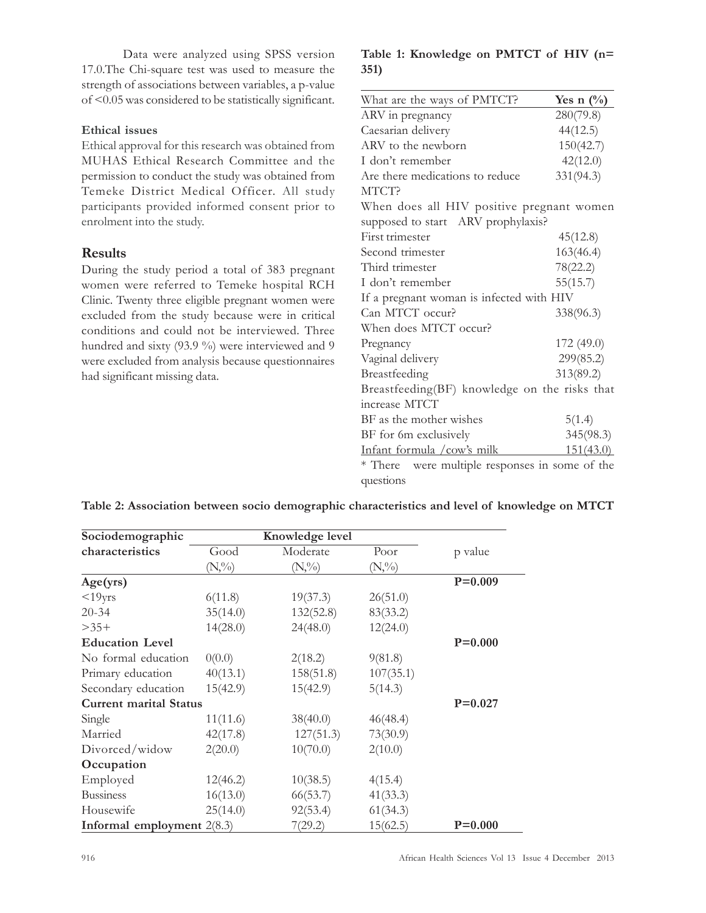Data were analyzed using SPSS version 17.0.The Chi-square test was used to measure the strength of associations between variables, a p-value of <0.05 was considered to be statistically significant.

#### Ethical issues

Ethical approval for this research was obtained from MUHAS Ethical Research Committee and the permission to conduct the study was obtained from Temeke District Medical Officer. All study participants provided informed consent prior to enrolment into the study.

# **Results**

During the study period a total of 383 pregnant women were referred to Temeke hospital RCH Clinic. Twenty three eligible pregnant women were excluded from the study because were in critical conditions and could not be interviewed. Three hundred and sixty (93.9 %) were interviewed and 9 were excluded from analysis because questionnaires had significant missing data.

# Table 1: Knowledge on PMTCT of HIV (n= 351)

| What are the ways of PMTCT?                       | Yes n $(\%)$ |
|---------------------------------------------------|--------------|
| ARV in pregnancy                                  | 280(79.8)    |
| Caesarian delivery                                | 44(12.5)     |
| ARV to the newborn                                | 150(42.7)    |
| I don't remember                                  | 42(12.0)     |
| Are there medications to reduce                   | 331(94.3)    |
| MTCT?                                             |              |
| When does all HIV positive pregnant women         |              |
| supposed to start ARV prophylaxis?                |              |
| First trimester                                   | 45(12.8)     |
| Second trimester                                  | 163(46.4)    |
| Third trimester                                   | 78(22.2)     |
| I don't remember                                  | 55(15.7)     |
| If a pregnant woman is infected with HIV          |              |
| Can MTCT occur?                                   | 338(96.3)    |
| When does MTCT occur?                             |              |
| Pregnancy                                         | 172 (49.0)   |
| Vaginal delivery                                  | 299(85.2)    |
| Breastfeeding                                     | 313(89.2)    |
| Breastfeeding(BF) knowledge on the risks that     |              |
| increase MTCT                                     |              |
| BF as the mother wishes                           | 5(1.4)       |
| BF for 6m exclusively                             | 345(98.3)    |
| Infant formula /cow's milk                        | 151(43.0)    |
| were multiple responses in some of the<br>* There |              |
| questions                                         |              |

## Table 2: Association between socio demographic characteristics and level of knowledge on MTCT

| Sociodemographic              |            | Knowledge level |            |           |
|-------------------------------|------------|-----------------|------------|-----------|
| characteristics               | Good       | Moderate        | Poor       | p value   |
|                               | $(N, \% )$ | $(N, \% )$      | $(N, \% )$ |           |
| Age(yrs)                      |            |                 |            | $P=0.009$ |
| $<$ 19yrs                     | 6(11.8)    | 19(37.3)        | 26(51.0)   |           |
| $20 - 34$                     | 35(14.0)   | 132(52.8)       | 83(33.2)   |           |
| $>35+$                        | 14(28.0)   | 24(48.0)        | 12(24.0)   |           |
| <b>Education Level</b>        |            |                 |            | $P=0.000$ |
| No formal education           | 0(0.0)     | 2(18.2)         | 9(81.8)    |           |
| Primary education             | 40(13.1)   | 158(51.8)       | 107(35.1)  |           |
| Secondary education           | 15(42.9)   | 15(42.9)        | 5(14.3)    |           |
| <b>Current marital Status</b> |            |                 |            | $P=0.027$ |
| Single                        | 11(11.6)   | 38(40.0)        | 46(48.4)   |           |
| Married                       | 42(17.8)   | 127(51.3)       | 73(30.9)   |           |
| Divorced/widow                | 2(20.0)    | 10(70.0)        | 2(10.0)    |           |
| Occupation                    |            |                 |            |           |
| Employed                      | 12(46.2)   | 10(38.5)        | 4(15.4)    |           |
| <b>Bussiness</b>              | 16(13.0)   | 66(53.7)        | 41(33.3)   |           |
| Housewife                     | 25(14.0)   | 92(53.4)        | 61(34.3)   |           |
| Informal employment $2(8.3)$  |            | 7(29.2)         | 15(62.5)   | $P=0.000$ |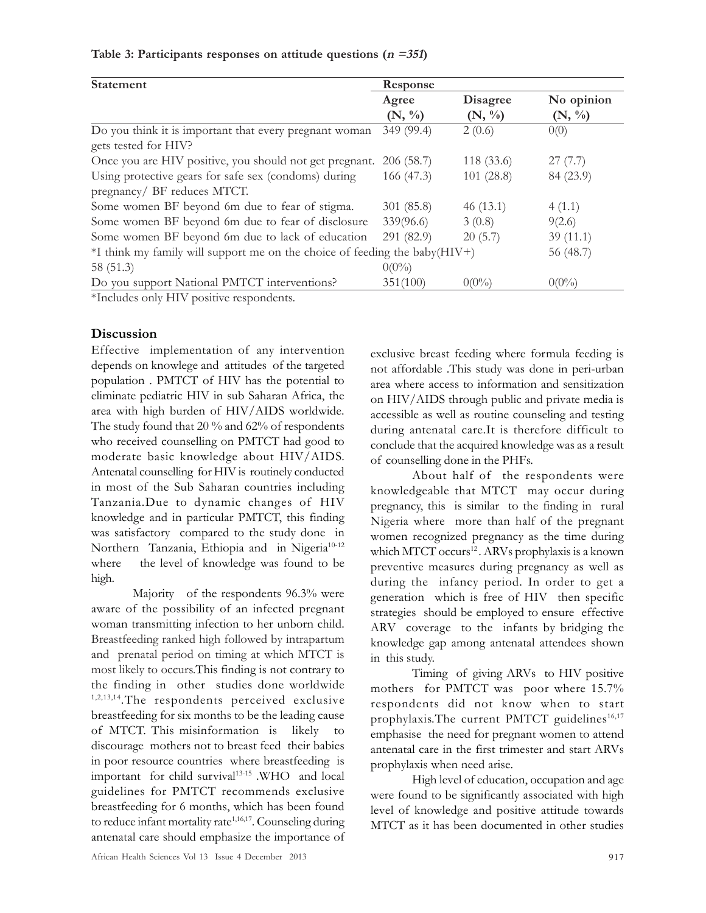| <b>Statement</b>                                                           | Response        |                           |                      |
|----------------------------------------------------------------------------|-----------------|---------------------------|----------------------|
|                                                                            | Agree<br>(N, %) | <b>Disagree</b><br>(N, %) | No opinion<br>(N, %) |
| Do you think it is important that every pregnant woman                     | 349 (99.4)      | 2(0.6)                    | 0(0)                 |
| gets tested for HIV?                                                       |                 |                           |                      |
| Once you are HIV positive, you should not get pregnant.                    | 206(58.7)       | 118 (33.6)                | 27(7.7)              |
| Using protective gears for safe sex (condoms) during                       | 166 (47.3)      | 101(28.8)                 | 84 (23.9)            |
| pregnancy/ BF reduces MTCT.                                                |                 |                           |                      |
| Some women BF beyond 6m due to fear of stigma.                             | 301 (85.8)      | 46(13.1)                  | 4(1.1)               |
| Some women BF beyond 6m due to fear of disclosure                          | 339(96.6)       | 3(0.8)                    | 9(2.6)               |
| Some women BF beyond 6m due to lack of education                           | 291 (82.9)      | 20(5.7)                   | 39(11.1)             |
| *I think my family will support me on the choice of feeding the baby(HIV+) |                 |                           | 56 (48.7)            |
| 58 (51.3)                                                                  | $0(0\%)$        |                           |                      |
| Do you support National PMTCT interventions?                               | 351(100)        | $0(0\%)$                  | $0(0\%)$             |

### Table 3: Participants responses on attitude questions  $(n = 351)$

\*Includes only HIV positive respondents.

## Discussion

Effective implementation of any intervention depends on knowlege and attitudes of the targeted population . PMTCT of HIV has the potential to eliminate pediatric HIV in sub Saharan Africa, the area with high burden of HIV/AIDS worldwide. The study found that 20 % and 62% of respondents who received counselling on PMTCT had good to moderate basic knowledge about HIV/AIDS. Antenatal counselling for HIV is routinely conducted in most of the Sub Saharan countries including Tanzania.Due to dynamic changes of HIV knowledge and in particular PMTCT, this finding was satisfactory compared to the study done in Northern Tanzania, Ethiopia and in Nigeria<sup>10-12</sup> where the level of knowledge was found to be high.

Majority of the respondents 96.3% were aware of the possibility of an infected pregnant woman transmitting infection to her unborn child. Breastfeeding ranked high followed by intrapartum and prenatal period on timing at which MTCT is most likely to occurs.This finding is not contrary to the finding in other studies done worldwide 1,2,13,14.The respondents perceived exclusive breastfeeding for six months to be the leading cause of MTCT. This misinformation is likely to discourage mothers not to breast feed their babies in poor resource countries where breastfeeding is important for child survival<sup>13-15</sup> .WHO and local guidelines for PMTCT recommends exclusive breastfeeding for 6 months, which has been found to reduce infant mortality rate<sup>1,16,17</sup>. Counseling during antenatal care should emphasize the importance of exclusive breast feeding where formula feeding is not affordable .This study was done in peri-urban area where access to information and sensitization on HIV/AIDS through public and private media is accessible as well as routine counseling and testing during antenatal care.It is therefore difficult to conclude that the acquired knowledge was as a result of counselling done in the PHFs.

About half of the respondents were knowledgeable that MTCT may occur during pregnancy, this is similar to the finding in rural Nigeria where more than half of the pregnant women recognized pregnancy as the time during which MTCT occurs 12 . ARVs prophylaxis is a known preventive measures during pregnancy as well as during the infancy period. In order to get a generation which is free of HIV then specific strategies should be employed to ensure effective ARV coverage to the infants by bridging the knowledge gap among antenatal attendees shown in this study.

Timing of giving ARVs to HIV positive mothers for PMTCT was poor where 15.7% respondents did not know when to start prophylaxis. The current PMTCT guidelines<sup>16,17</sup> emphasise the need for pregnant women to attend antenatal care in the first trimester and start ARVs prophylaxis when need arise.

High level of education, occupation and age were found to be significantly associated with high level of knowledge and positive attitude towards MTCT as it has been documented in other studies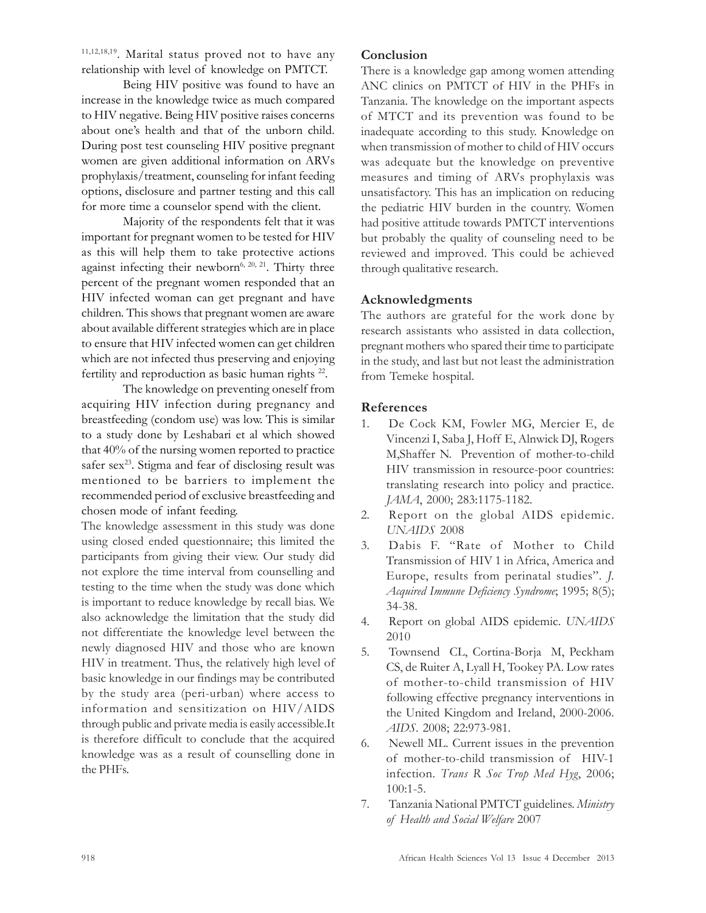11,12,18,19. Marital status proved not to have any relationship with level of knowledge on PMTCT.

Being HIV positive was found to have an increase in the knowledge twice as much compared to HIV negative. Being HIV positive raises concerns about one's health and that of the unborn child. During post test counseling HIV positive pregnant women are given additional information on ARVs prophylaxis/treatment, counseling for infant feeding options, disclosure and partner testing and this call for more time a counselor spend with the client.

Majority of the respondents felt that it was important for pregnant women to be tested for HIV as this will help them to take protective actions against infecting their newborn<sup>6, 20, 21</sup>. Thirty three percent of the pregnant women responded that an HIV infected woman can get pregnant and have children. This shows that pregnant women are aware about available different strategies which are in place to ensure that HIV infected women can get children which are not infected thus preserving and enjoying fertility and reproduction as basic human rights<sup>22</sup>.

The knowledge on preventing oneself from acquiring HIV infection during pregnancy and breastfeeding (condom use) was low. This is similar to a study done by Leshabari et al which showed that 40% of the nursing women reported to practice safer sex<sup>23</sup>. Stigma and fear of disclosing result was mentioned to be barriers to implement the recommended period of exclusive breastfeeding and chosen mode of infant feeding.

The knowledge assessment in this study was done using closed ended questionnaire; this limited the participants from giving their view. Our study did not explore the time interval from counselling and testing to the time when the study was done which is important to reduce knowledge by recall bias. We also acknowledge the limitation that the study did not differentiate the knowledge level between the newly diagnosed HIV and those who are known HIV in treatment. Thus, the relatively high level of basic knowledge in our findings may be contributed by the study area (peri-urban) where access to information and sensitization on HIV/AIDS through public and private media is easily accessible.It is therefore difficult to conclude that the acquired knowledge was as a result of counselling done in the PHFs.

# Conclusion

There is a knowledge gap among women attending ANC clinics on PMTCT of HIV in the PHFs in Tanzania. The knowledge on the important aspects of MTCT and its prevention was found to be inadequate according to this study. Knowledge on when transmission of mother to child of HIV occurs was adequate but the knowledge on preventive measures and timing of ARVs prophylaxis was unsatisfactory. This has an implication on reducing the pediatric HIV burden in the country. Women had positive attitude towards PMTCT interventions but probably the quality of counseling need to be reviewed and improved. This could be achieved through qualitative research.

# Acknowledgments

The authors are grateful for the work done by research assistants who assisted in data collection, pregnant mothers who spared their time to participate in the study, and last but not least the administration from Temeke hospital.

# References

- 1. De Cock KM, Fowler MG, Mercier E, de Vincenzi I, Saba J, Hoff E, Alnwick DJ, Rogers M,Shaffer N. Prevention of mother-to-child HIV transmission in resource-poor countries: translating research into policy and practice. JAMA, 2000; 283:1175-1182.
- 2. Report on the global AIDS epidemic. UNAIDS 2008
- 3. Dabis F. "Rate of Mother to Child Transmission of HIV 1 in Africa, America and Europe, results from perinatal studies". J. Acquired Immune Deficiency Syndrome; 1995; 8(5); 34-38.
- 4. Report on global AIDS epidemic. UNAIDS 2010
- 5. Townsend CL, Cortina-Borja M, Peckham CS, de Ruiter A, Lyall H, Tookey PA. Low rates of mother-to-child transmission of HIV following effective pregnancy interventions in the United Kingdom and Ireland, 2000-2006. AIDS. 2008; 22:973-981.
- 6. Newell ML. Current issues in the prevention of mother-to-child transmission of HIV-1 infection. Trans R Soc Trop Med Hyg, 2006; 100:1-5.
- 7. Tanzania National PMTCT guidelines. Ministry of Health and Social Welfare 2007